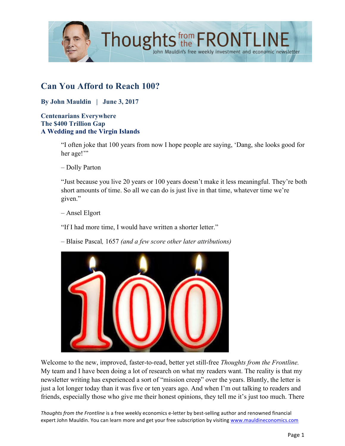

# **Can You Afford to Reach 100?**

**By John Mauldin | June 3, 2017**

### **Centenarians Everywhere The \$400 Trillion Gap A Wedding and the Virgin Islands**

"I often joke that 100 years from now I hope people are saying, 'Dang, she looks good for her age!"

– Dolly Parton

"Just because you live 20 years or 100 years doesn't make it less meaningful. They're both short amounts of time. So all we can do is just live in that time, whatever time we're given."

– Ansel Elgort

"If I had more time, I would have written a shorter letter."

– Blaise Pascal*,* 1657 *(and a few score other later attributions)*



Welcome to the new, improved, faster-to-read, better yet still-free *Thoughts from the Frontline.* My team and I have been doing a lot of research on what my readers want. The reality is that my newsletter writing has experienced a sort of "mission creep" over the years. Bluntly, the letter is just a lot longer today than it was five or ten years ago. And when I'm out talking to readers and friends, especially those who give me their honest opinions, they tell me it's just too much. There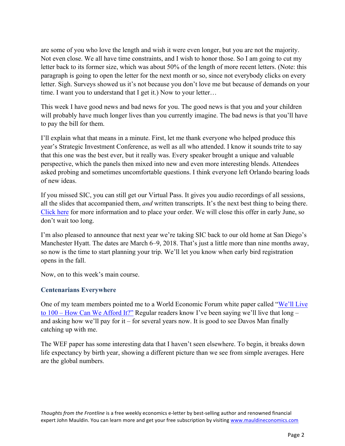are some of you who love the length and wish it were even longer, but you are not the majority. Not even close. We all have time constraints, and I wish to honor those. So I am going to cut my letter back to its former size, which was about 50% of the length of more recent letters. (Note: this paragraph is going to open the letter for the next month or so, since not everybody clicks on every letter. Sigh. Surveys showed us it's not because you don't love me but because of demands on your time. I want you to understand that I get it.) Now to your letter…

This week I have good news and bad news for you. The good news is that you and your children will probably have much longer lives than you currently imagine. The bad news is that you'll have to pay the bill for them.

I'll explain what that means in a minute. First, let me thank everyone who helped produce this year's Strategic Investment Conference, as well as all who attended. I know it sounds trite to say that this one was the best ever, but it really was. Every speaker brought a unique and valuable perspective, which the panels then mixed into new and even more interesting blends. Attendees asked probing and sometimes uncomfortable questions. I think everyone left Orlando bearing loads of new ideas.

If you missed SIC, you can still get our Virtual Pass. It gives you audio recordings of all sessions, all the slides that accompanied them, *and* written transcripts. It's the next best thing to being there. [Click here](http://www.mauldineconomics.com/go/v34k6w/MEC) for more information and to place your order. We will close this offer in early June, so don't wait too long.

I'm also pleased to announce that next year we're taking SIC back to our old home at San Diego's Manchester Hyatt. The dates are March 6–9, 2018. That's just a little more than nine months away, so now is the time to start planning your trip. We'll let you know when early bird registration opens in the fall.

Now, on to this week's main course.

### **Centenarians Everywhere**

One of my team members pointed me to a World Economic Forum white paper called "We'll Live to 100 – How Can We Afford It?" [Regular readers know I've been saying we'll live that long –](http://www3.weforum.org/docs/WEF_White_Paper_We_Will_Live_to_100.pdf) and asking how we'll pay for it – for several years now. It is good to see Davos Man finally catching up with me.

The WEF paper has some interesting data that I haven't seen elsewhere. To begin, it breaks down life expectancy by birth year, showing a different picture than we see from simple averages. Here are the global numbers.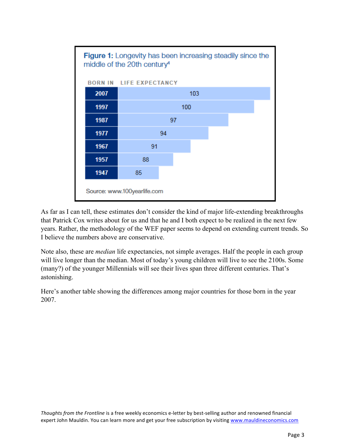

As far as I can tell, these estimates don't consider the kind of major life-extending breakthroughs that Patrick Cox writes about for us and that he and I both expect to be realized in the next few years. Rather, the methodology of the WEF paper seems to depend on extending current trends. So I believe the numbers above are conservative.

Note also, these are *median* life expectancies, not simple averages. Half the people in each group will live longer than the median. Most of today's young children will live to see the 2100s. Some (many?) of the younger Millennials will see their lives span three different centuries. That's astonishing.

Here's another table showing the differences among major countries for those born in the year 2007.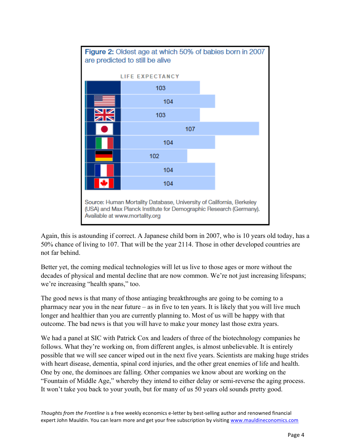

Again, this is astounding if correct. A Japanese child born in 2007, who is 10 years old today, has a 50% chance of living to 107. That will be the year 2114. Those in other developed countries are not far behind.

Better yet, the coming medical technologies will let us live to those ages or more without the decades of physical and mental decline that are now common. We're not just increasing lifespans; we're increasing "health spans," too.

The good news is that many of those antiaging breakthroughs are going to be coming to a pharmacy near you in the near future – as in five to ten years. It is likely that you will live much longer and healthier than you are currently planning to. Most of us will be happy with that outcome. The bad news is that you will have to make your money last those extra years.

We had a panel at SIC with Patrick Cox and leaders of three of the biotechnology companies he follows. What they're working on, from different angles, is almost unbelievable. It is entirely possible that we will see cancer wiped out in the next five years. Scientists are making huge strides with heart disease, dementia, spinal cord injuries, and the other great enemies of life and health. One by one, the dominoes are falling. Other companies we know about are working on the "Fountain of Middle Age," whereby they intend to either delay or semi-reverse the aging process. It won't take you back to your youth, but for many of us 50 years old sounds pretty good.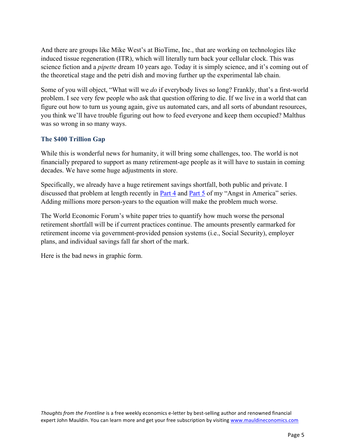And there are groups like Mike West's at BioTime, Inc., that are working on technologies like induced tissue regeneration (ITR), which will literally turn back your cellular clock. This was science fiction and a *pipette* dream 10 years ago. Today it is simply science, and it's coming out of the theoretical stage and the petri dish and moving further up the experimental lab chain.

Some of you will object, "What will we *do* if everybody lives so long? Frankly, that's a first-world problem. I see very few people who ask that question offering to die. If we live in a world that can figure out how to turn us young again, give us automated cars, and all sorts of abundant resources, you think we'll have trouble figuring out how to feed everyone and keep them occupied? Malthus was so wrong in so many ways.

## **The \$400 Trillion Gap**

While this is wonderful news for humanity, it will bring some challenges, too. The world is not financially prepared to support as many retirement-age people as it will have to sustain in coming decades. We have some huge adjustments in store.

Specifically, we already have a huge retirement savings shortfall, both public and private. I discussed that problem at length recently in [Part 4 a](http://www.mauldineconomics.com/frontlinethoughts/angst-in-america-part-4-disappearing-pensions)nd [Part 5](http://www.mauldineconomics.com/frontlinethoughts/angst-in-america-part-5-the-crisis-we-cant-muddle-through) of my "Angst in America" series. Adding millions more person-years to the equation will make the problem much worse.

The World Economic Forum's white paper tries to quantify how much worse the personal retirement shortfall will be if current practices continue. The amounts presently earmarked for retirement income via government-provided pension systems (i.e., Social Security), employer plans, and individual savings fall far short of the mark.

Here is the bad news in graphic form.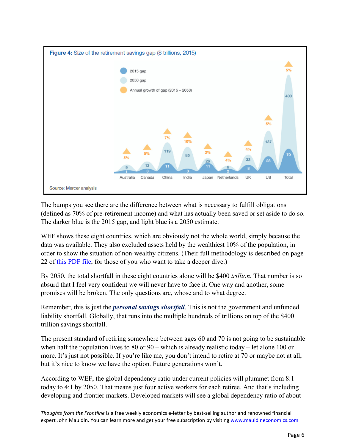

The bumps you see there are the difference between what is necessary to fulfill obligations (defined as 70% of pre-retirement income) and what has actually been saved or set aside to do so. The darker blue is the 2015 gap, and light blue is a 2050 estimate.

WEF shows these eight countries, which are obviously not the whole world, simply because the data was available. They also excluded assets held by the wealthiest 10% of the population, in order to show the situation of non-wealthy citizens. (Their full methodology is described on page 22 of [this PDF file,](http://www3.weforum.org/docs/WEF_White_Paper_We_Will_Live_to_100.pdf) for those of you who want to take a deeper dive.)

By 2050, the total shortfall in these eight countries alone will be \$400 *trillion.* That number is so absurd that I feel very confident we will never have to face it. One way and another, some promises will be broken. The only questions are, whose and to what degree.

Remember, this is just the *personal savings shortfall*. This is not the government and unfunded liability shortfall. Globally, that runs into the multiple hundreds of trillions on top of the \$400 trillion savings shortfall.

The present standard of retiring somewhere between ages 60 and 70 is not going to be sustainable when half the population lives to 80 or 90 – which is already realistic today – let alone 100 or more. It's just not possible. If you're like me, you don't intend to retire at 70 or maybe not at all, but it's nice to know we have the option. Future generations won't.

According to WEF, the global dependency ratio under current policies will plummet from 8:1 today to 4:1 by 2050. That means just four active workers for each retiree. And that's including developing and frontier markets. Developed markets will see a global dependency ratio of about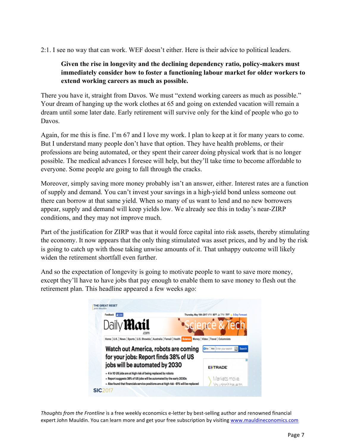2:1. I see no way that can work. WEF doesn't either. Here is their advice to political leaders.

# **Given the rise in longevity and the declining dependency ratio, policy-makers must immediately consider how to foster a functioning labour market for older workers to extend working careers as much as possible.**

There you have it, straight from Davos. We must "extend working careers as much as possible." Your dream of hanging up the work clothes at 65 and going on extended vacation will remain a dream until some later date. Early retirement will survive only for the kind of people who go to Davos.

Again, for me this is fine. I'm 67 and I love my work. I plan to keep at it for many years to come. But I understand many people don't have that option. They have health problems, or their professions are being automated, or they spent their career doing physical work that is no longer possible. The medical advances I foresee will help, but they'll take time to become affordable to everyone. Some people are going to fall through the cracks.

Moreover, simply saving more money probably isn't an answer, either. Interest rates are a function of supply and demand. You can't invest your savings in a high-yield bond unless someone out there can borrow at that same yield. When so many of us want to lend and no new borrowers appear, supply and demand will keep yields low. We already see this in today's near-ZIRP conditions, and they may not improve much.

Part of the justification for ZIRP was that it would force capital into risk assets, thereby stimulating the economy. It now appears that the only thing stimulated was asset prices, and by and by the risk is going to catch up with those taking unwise amounts of it. That unhappy outcome will likely widen the retirement shortfall even further.

And so the expectation of longevity is going to motivate people to want to save more money, except they'll have to have jobs that pay enough to enable them to save money to flesh out the retirement plan. This headline appeared a few weeks ago:

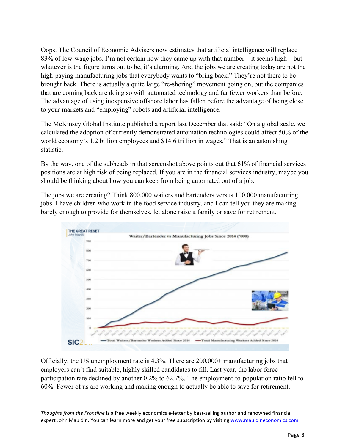Oops. The Council of Economic Advisers now estimates that artificial intelligence will replace 83% of low-wage jobs. I'm not certain how they came up with that number – it seems high – but whatever is the figure turns out to be, it's alarming. And the jobs we are creating today are not the high-paying manufacturing jobs that everybody wants to "bring back." They're not there to be brought back. There is actually a quite large "re-shoring" movement going on, but the companies that are coming back are doing so with automated technology and far fewer workers than before. The advantage of using inexpensive offshore labor has fallen before the advantage of being close to your markets and "employing" robots and artificial intelligence.

The McKinsey Global Institute published a report last December that said: "On a global scale, we calculated the adoption of currently demonstrated automation technologies could affect 50% of the world economy's 1.2 billion employees and \$14.6 trillion in wages." That is an astonishing statistic.

By the way, one of the subheads in that screenshot above points out that 61% of financial services positions are at high risk of being replaced. If you are in the financial services industry, maybe you should be thinking about how you can keep from being automated out of a job.

The jobs we are creating? Think 800,000 waiters and bartenders versus 100,000 manufacturing jobs. I have children who work in the food service industry, and I can tell you they are making barely enough to provide for themselves, let alone raise a family or save for retirement.



Officially, the US unemployment rate is 4.3%. There are 200,000+ manufacturing jobs that employers can't find suitable, highly skilled candidates to fill. Last year, the labor force participation rate declined by another 0.2% to 62.7%. The employment-to-population ratio fell to 60%. Fewer of us are working and making enough to actually be able to save for retirement.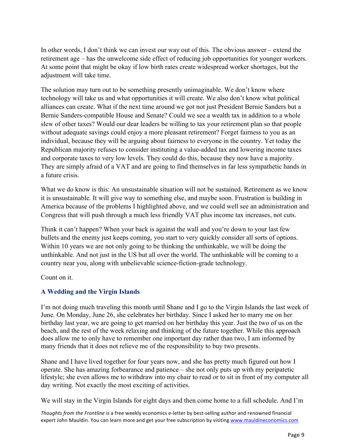In other words, I don't think we can invest our way out of this. The obvious answer – extend the retirement age – has the unwelcome side effect of reducing job opportunities for younger workers. At some point that might be okay if low birth rates create widespread worker shortages, but the adjustment will take time.

The solution may turn out to be something presently unimaginable. We don't know where technology will take us and what opportunities it will create. We also don't know what political alliances can create. What if the next time around we got not just President Bernie Sanders but a Bernie Sanders-compatible House and Senate? Could we see a wealth tax in addition to a whole slew of other taxes? Would our dear leaders be willing to tax your retirement plan so that people without adequate savings could enjoy a more pleasant retirement? Forget fairness to you as an individual, because they will be arguing about fairness to everyone in the country. Yet today the Republican majority refuses to consider instituting a value-added tax and lowering income taxes and corporate taxes to very low levels. They could do this, because they now have a majority. They are simply afraid of a VAT and are going to find themselves in far less sympathetic hands in a future crisis.

What we do know is this: An unsustainable situation will not be sustained. Retirement as we know it is unsustainable. It will give way to something else, and maybe soon. Frustration is building in America because of the problems I highlighted above, and we could well see an administration and Congress that will push through a much less friendly VAT plus income tax increases, not cuts.

Think it can't happen? When your back is against the wall and you're down to your last few bullets and the enemy just keeps coming, you start to very quickly consider all sorts of options. Within 10 years we are not only going to be thinking the unthinkable, we will be doing the unthinkable. And not just in the US but all over the world. The unthinkable will be coming to a country near you, along with unbelievable science-fiction-grade technology.

Count on it.

# **A Wedding and the Virgin Islands**

I'm not doing much traveling this month until Shane and I go to the Virgin Islands the last week of June. On Monday, June 26, she celebrates her birthday. Since I asked her to marry me on her birthday last year, we are going to get married on her birthday this year. Just the two of us on the beach, and the rest of the week relaxing and thinking of the future together. While this approach does allow me to only have to remember one important day rather than two, I am informed by many friends that it does not relieve me of the responsibility to buy two presents.

Shane and I have lived together for four years now, and she has pretty much figured out how I operate. She has amazing forbearance and patience – she not only puts up with my peripatetic lifestyle; she even allows me to withdraw into my chair to read or to sit in front of my computer all day writing. Not exactly the most exciting of activities.

We will stay in the Virgin Islands for eight days and then come home to a full schedule. And I'm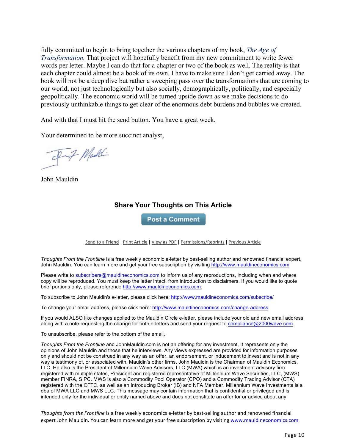fully committed to begin to bring together the various chapters of my book, *The Age of Transformation.* That project will hopefully benefit from my new commitment to write fewer words per letter. Maybe I can do that for a chapter or two of the book as well. The reality is that each chapter could almost be a book of its own. I have to make sure I don't get carried away. The book will not be a deep dive but rather a sweeping pass over the transformations that are coming to our world, not just technologically but also socially, demographically, politically, and especially geopolitically. The economic world will be turned upside down as we make decisions to do previously unthinkable things to get clear of the enormous debt burdens and bubbles we created.

And with that I must hit the send button. You have a great week.

Your determined to be more succinct analyst,

Inf Maddi

John Mauldin

# **Share Your Thoughts on This Article**

**Post a Comment** 

Send to a Friend | Print Article | View as PDF | Permissions/Reprints | Previous Article

*Thoughts From the Frontline* is a free weekly economic e-letter by best-selling author and renowned financial expert, John Mauldin. You can learn more and get your free subscription by visiting http://www.mauldineconomics.com.

Please write to subscribers@mauldineconomics.com to inform us of any reproductions, including when and where copy will be reproduced. You must keep the letter intact, from introduction to disclaimers. If you would like to quote brief portions only, please reference http://www.mauldineconomics.com.

To subscribe to John Mauldin's e-letter, please click here: http://www.mauldineconomics.com/subscribe/

To change your email address, please click here: http://www.mauldineconomics.com/change-address

If you would ALSO like changes applied to the Mauldin Circle e-letter, please include your old and new email address along with a note requesting the change for both e-letters and send your request to compliance@2000wave.com.

To unsubscribe, please refer to the bottom of the email.

*Thoughts From the Frontline* and JohnMauldin.com is not an offering for any investment. It represents only the opinions of John Mauldin and those that he interviews. Any views expressed are provided for information purposes only and should not be construed in any way as an offer, an endorsement, or inducement to invest and is not in any way a testimony of, or associated with, Mauldin's other firms. John Mauldin is the Chairman of Mauldin Economics, LLC. He also is the President of Millennium Wave Advisors, LLC (MWA) which is an investment advisory firm registered with multiple states, President and registered representative of Millennium Wave Securities, LLC, (MWS) member FINRA, SIPC. MWS is also a Commodity Pool Operator (CPO) and a Commodity Trading Advisor (CTA) registered with the CFTC, as well as an Introducing Broker (IB) and NFA Member. Millennium Wave Investments is a dba of MWA LLC and MWS LLC. This message may contain information that is confidential or privileged and is intended only for the individual or entity named above and does not constitute an offer for or advice about any